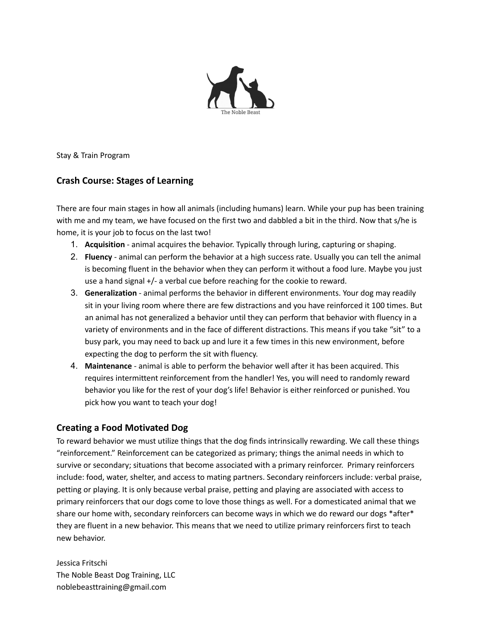

Stay & Train Program

# **Crash Course: Stages of Learning**

There are four main stages in how all animals (including humans) learn. While your pup has been training with me and my team, we have focused on the first two and dabbled a bit in the third. Now that s/he is home, it is your job to focus on the last two!

- 1. **Acquisition** animal acquires the behavior. Typically through luring, capturing or shaping.
- 2. **Fluency** animal can perform the behavior at a high success rate. Usually you can tell the animal is becoming fluent in the behavior when they can perform it without a food lure. Maybe you just use a hand signal +/- a verbal cue before reaching for the cookie to reward.
- 3. **Generalization** animal performs the behavior in different environments. Your dog may readily sit in your living room where there are few distractions and you have reinforced it 100 times. But an animal has not generalized a behavior until they can perform that behavior with fluency in a variety of environments and in the face of different distractions. This means if you take "sit" to a busy park, you may need to back up and lure it a few times in this new environment, before expecting the dog to perform the sit with fluency.
- 4. **Maintenance** animal is able to perform the behavior well after it has been acquired. This requires intermittent reinforcement from the handler! Yes, you will need to randomly reward behavior you like for the rest of your dog's life! Behavior is either reinforced or punished. You pick how you want to teach your dog!

# **Creating a Food Motivated Dog**

To reward behavior we must utilize things that the dog finds intrinsically rewarding. We call these things "reinforcement." Reinforcement can be categorized as primary; things the animal needs in which to survive or secondary; situations that become associated with a primary reinforcer. Primary reinforcers include: food, water, shelter, and access to mating partners. Secondary reinforcers include: verbal praise, petting or playing. It is only because verbal praise, petting and playing are associated with access to primary reinforcers that our dogs come to love those things as well. For a domesticated animal that we share our home with, secondary reinforcers can become ways in which we do reward our dogs \*after\* they are fluent in a new behavior. This means that we need to utilize primary reinforcers first to teach new behavior.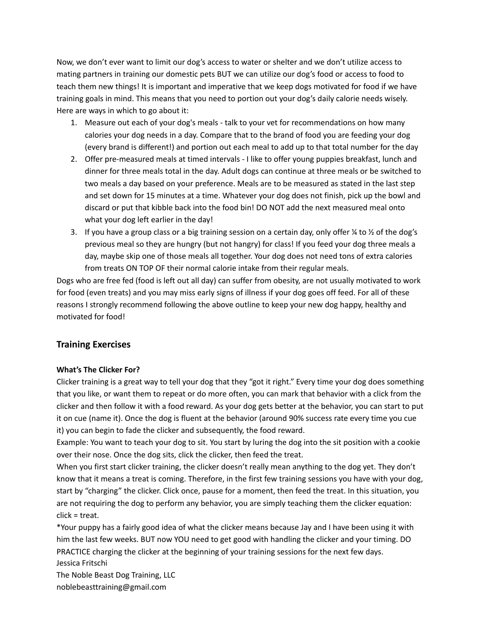Now, we don't ever want to limit our dog's access to water or shelter and we don't utilize access to mating partners in training our domestic pets BUT we can utilize our dog's food or access to food to teach them new things! It is important and imperative that we keep dogs motivated for food if we have training goals in mind. This means that you need to portion out your dog's daily calorie needs wisely. Here are ways in which to go about it:

- 1. Measure out each of your dog's meals talk to your vet for recommendations on how many calories your dog needs in a day. Compare that to the brand of food you are feeding your dog (every brand is different!) and portion out each meal to add up to that total number for the day
- 2. Offer pre-measured meals at timed intervals I like to offer young puppies breakfast, lunch and dinner for three meals total in the day. Adult dogs can continue at three meals or be switched to two meals a day based on your preference. Meals are to be measured as stated in the last step and set down for 15 minutes at a time. Whatever your dog does not finish, pick up the bowl and discard or put that kibble back into the food bin! DO NOT add the next measured meal onto what your dog left earlier in the day!
- 3. If you have a group class or a big training session on a certain day, only offer  $\frac{1}{4}$  to  $\frac{1}{2}$  of the dog's previous meal so they are hungry (but not hangry) for class! If you feed your dog three meals a day, maybe skip one of those meals all together. Your dog does not need tons of extra calories from treats ON TOP OF their normal calorie intake from their regular meals.

Dogs who are free fed (food is left out all day) can suffer from obesity, are not usually motivated to work for food (even treats) and you may miss early signs of illness if your dog goes off feed. For all of these reasons I strongly recommend following the above outline to keep your new dog happy, healthy and motivated for food!

## **Training Exercises**

### **What's The Clicker For?**

Clicker training is a great way to tell your dog that they "got it right." Every time your dog does something that you like, or want them to repeat or do more often, you can mark that behavior with a click from the clicker and then follow it with a food reward. As your dog gets better at the behavior, you can start to put it on cue (name it). Once the dog is fluent at the behavior (around 90% success rate every time you cue it) you can begin to fade the clicker and subsequently, the food reward.

Example: You want to teach your dog to sit. You start by luring the dog into the sit position with a cookie over their nose. Once the dog sits, click the clicker, then feed the treat.

When you first start clicker training, the clicker doesn't really mean anything to the dog yet. They don't know that it means a treat is coming. Therefore, in the first few training sessions you have with your dog, start by "charging" the clicker. Click once, pause for a moment, then feed the treat. In this situation, you are not requiring the dog to perform any behavior, you are simply teaching them the clicker equation: click = treat.

\*Your puppy has a fairly good idea of what the clicker means because Jay and I have been using it with him the last few weeks. BUT now YOU need to get good with handling the clicker and your timing. DO PRACTICE charging the clicker at the beginning of your training sessions for the next few days. Jessica Fritschi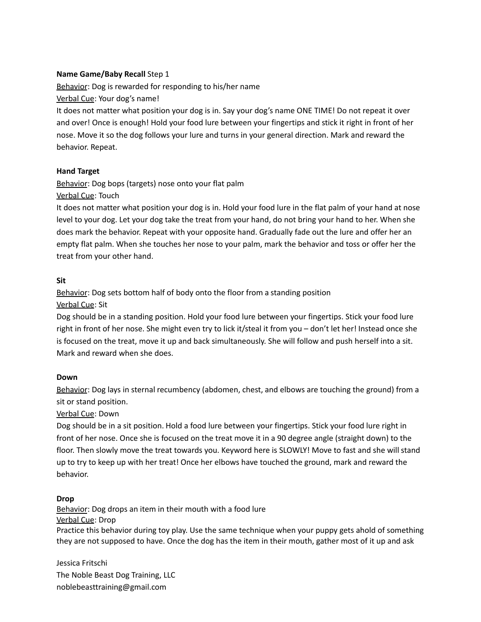### **Name Game/Baby Recall** Step 1

Behavior: Dog is rewarded for responding to his/her name Verbal Cue: Your dog's name!

It does not matter what position your dog is in. Say your dog's name ONE TIME! Do not repeat it over and over! Once is enough! Hold your food lure between your fingertips and stick it right in front of her nose. Move it so the dog follows your lure and turns in your general direction. Mark and reward the behavior. Repeat.

#### **Hand Target**

Behavior: Dog bops (targets) nose onto your flat palm Verbal Cue: Touch

It does not matter what position your dog is in. Hold your food lure in the flat palm of your hand at nose level to your dog. Let your dog take the treat from your hand, do not bring your hand to her. When she does mark the behavior. Repeat with your opposite hand. Gradually fade out the lure and offer her an empty flat palm. When she touches her nose to your palm, mark the behavior and toss or offer her the treat from your other hand.

#### **Sit**

Behavior: Dog sets bottom half of body onto the floor from a standing position Verbal Cue: Sit

Dog should be in a standing position. Hold your food lure between your fingertips. Stick your food lure right in front of her nose. She might even try to lick it/steal it from you – don't let her! Instead once she is focused on the treat, move it up and back simultaneously. She will follow and push herself into a sit. Mark and reward when she does.

#### **Down**

Behavior: Dog lays in sternal recumbency (abdomen, chest, and elbows are touching the ground) from a sit or stand position.

Verbal Cue: Down

Dog should be in a sit position. Hold a food lure between your fingertips. Stick your food lure right in front of her nose. Once she is focused on the treat move it in a 90 degree angle (straight down) to the floor. Then slowly move the treat towards you. Keyword here is SLOWLY! Move to fast and she will stand up to try to keep up with her treat! Once her elbows have touched the ground, mark and reward the behavior.

#### **Drop**

Behavior: Dog drops an item in their mouth with a food lure Verbal Cue: Drop

Practice this behavior during toy play. Use the same technique when your puppy gets ahold of something they are not supposed to have. Once the dog has the item in their mouth, gather most of it up and ask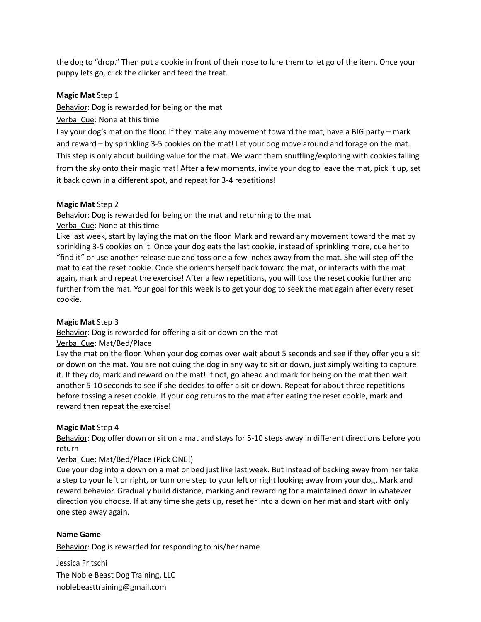the dog to "drop." Then put a cookie in front of their nose to lure them to let go of the item. Once your puppy lets go, click the clicker and feed the treat.

#### **Magic Mat** Step 1

Behavior: Dog is rewarded for being on the mat

### Verbal Cue: None at this time

Lay your dog's mat on the floor. If they make any movement toward the mat, have a BIG party – mark and reward – by sprinkling 3-5 cookies on the mat! Let your dog move around and forage on the mat. This step is only about building value for the mat. We want them snuffling/exploring with cookies falling from the sky onto their magic mat! After a few moments, invite your dog to leave the mat, pick it up, set it back down in a different spot, and repeat for 3-4 repetitions!

#### **Magic Mat** Step 2

Behavior: Dog is rewarded for being on the mat and returning to the mat Verbal Cue: None at this time

Like last week, start by laying the mat on the floor. Mark and reward any movement toward the mat by sprinkling 3-5 cookies on it. Once your dog eats the last cookie, instead of sprinkling more, cue her to "find it" or use another release cue and toss one a few inches away from the mat. She will step off the mat to eat the reset cookie. Once she orients herself back toward the mat, or interacts with the mat again, mark and repeat the exercise! After a few repetitions, you will toss the reset cookie further and further from the mat. Your goal for this week is to get your dog to seek the mat again after every reset cookie.

#### **Magic Mat** Step 3

Behavior: Dog is rewarded for offering a sit or down on the mat Verbal Cue: Mat/Bed/Place

Lay the mat on the floor. When your dog comes over wait about 5 seconds and see if they offer you a sit or down on the mat. You are not cuing the dog in any way to sit or down, just simply waiting to capture it. If they do, mark and reward on the mat! If not, go ahead and mark for being on the mat then wait another 5-10 seconds to see if she decides to offer a sit or down. Repeat for about three repetitions before tossing a reset cookie. If your dog returns to the mat after eating the reset cookie, mark and reward then repeat the exercise!

#### **Magic Mat** Step 4

Behavior: Dog offer down or sit on a mat and stays for 5-10 steps away in different directions before you return

#### Verbal Cue: Mat/Bed/Place (Pick ONE!)

Cue your dog into a down on a mat or bed just like last week. But instead of backing away from her take a step to your left or right, or turn one step to your left or right looking away from your dog. Mark and reward behavior. Gradually build distance, marking and rewarding for a maintained down in whatever direction you choose. If at any time she gets up, reset her into a down on her mat and start with only one step away again.

#### **Name Game**

Behavior: Dog is rewarded for responding to his/her name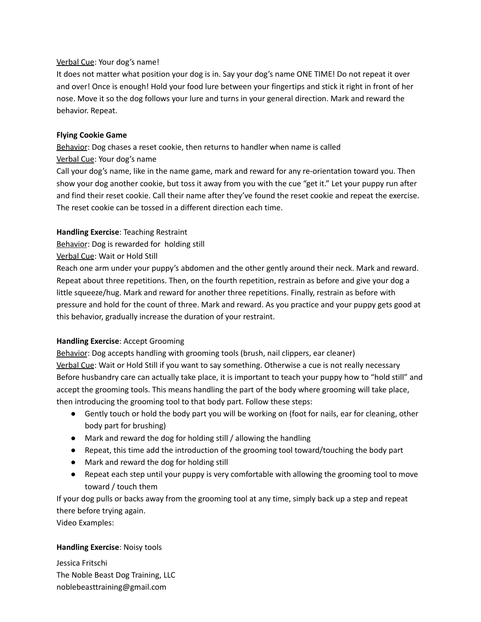### Verbal Cue: Your dog's name!

It does not matter what position your dog is in. Say your dog's name ONE TIME! Do not repeat it over and over! Once is enough! Hold your food lure between your fingertips and stick it right in front of her nose. Move it so the dog follows your lure and turns in your general direction. Mark and reward the behavior. Repeat.

### **Flying Cookie Game**

Behavior: Dog chases a reset cookie, then returns to handler when name is called Verbal Cue: Your dog's name

Call your dog's name, like in the name game, mark and reward for any re-orientation toward you. Then show your dog another cookie, but toss it away from you with the cue "get it." Let your puppy run after and find their reset cookie. Call their name after they've found the reset cookie and repeat the exercise. The reset cookie can be tossed in a different direction each time.

### **Handling Exercise**: Teaching Restraint

Behavior: Dog is rewarded for holding still

Verbal Cue: Wait or Hold Still

Reach one arm under your puppy's abdomen and the other gently around their neck. Mark and reward. Repeat about three repetitions. Then, on the fourth repetition, restrain as before and give your dog a little squeeze/hug. Mark and reward for another three repetitions. Finally, restrain as before with pressure and hold for the count of three. Mark and reward. As you practice and your puppy gets good at this behavior, gradually increase the duration of your restraint.

### **Handling Exercise**: Accept Grooming

Behavior: Dog accepts handling with grooming tools (brush, nail clippers, ear cleaner) Verbal Cue: Wait or Hold Still if you want to say something. Otherwise a cue is not really necessary Before husbandry care can actually take place, it is important to teach your puppy how to "hold still" and accept the grooming tools. This means handling the part of the body where grooming will take place, then introducing the grooming tool to that body part. Follow these steps:

- Gently touch or hold the body part you will be working on (foot for nails, ear for cleaning, other body part for brushing)
- Mark and reward the dog for holding still / allowing the handling
- Repeat, this time add the introduction of the grooming tool toward/touching the body part
- Mark and reward the dog for holding still
- Repeat each step until your puppy is very comfortable with allowing the grooming tool to move toward / touch them

If your dog pulls or backs away from the grooming tool at any time, simply back up a step and repeat there before trying again.

Video Examples:

### **Handling Exercise**: Noisy tools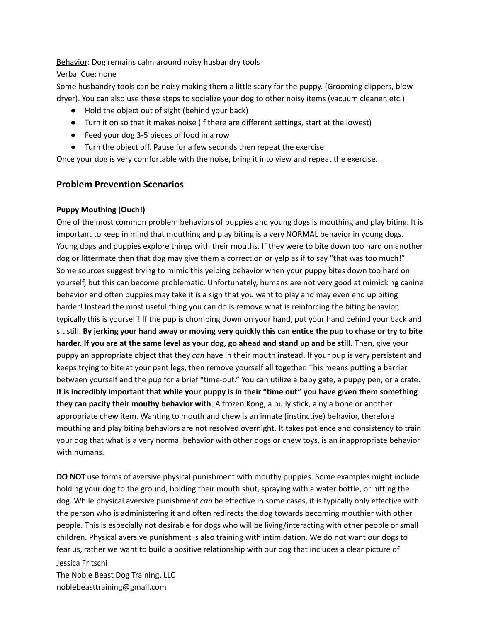Behavior: Dog remains calm around noisy husbandry tools Verbal Cue: none

Some husbandry tools can be noisy making them a little scary for the puppy. (Grooming clippers, blow dryer). You can also use these steps to socialize your dog to other noisy items (vacuum cleaner, etc.)

- Hold the object out of sight (behind your back)
- Turn it on so that it makes noise (if there are different settings, start at the lowest)
- Feed your dog 3-5 pieces of food in a row
- Turn the object off. Pause for a few seconds then repeat the exercise

Once your dog is very comfortable with the noise, bring it into view and repeat the exercise.

## **Problem Prevention Scenarios**

### **Puppy Mouthing (Ouch!)**

One of the most common problem behaviors of puppies and young dogs is mouthing and play biting. It is important to keep in mind that mouthing and play biting is a very NORMAL behavior in young dogs. Young dogs and puppies explore things with their mouths. If they were to bite down too hard on another dog or littermate then that dog may give them a correction or yelp as if to say "that was too much!" Some sources suggest trying to mimic this yelping behavior when your puppy bites down too hard on yourself, but this can become problematic. Unfortunately, humans are not very good at mimicking canine behavior and often puppies may take it is a sign that you want to play and may even end up biting harder! Instead the most useful thing you can do is remove what is reinforcing the biting behavior, typically this is yourself! If the pup is chomping down on your hand, put your hand behind your back and sit still. By jerking your hand away or moving very quickly this can entice the pup to chase or try to bite harder. If you are at the same level as your dog, go ahead and stand up and be still. Then, give your puppy an appropriate object that they *can* have in their mouth instead. If your pup is very persistent and keeps trying to bite at your pant legs, then remove yourself all together. This means putting a barrier between yourself and the pup for a brief "time-out." You can utilize a baby gate, a puppy pen, or a crate. It is incredibly important that while your puppy is in their "time out" you have given them something **they can pacify their mouthy behavior with**: A frozen Kong, a bully stick, a nyla bone or another appropriate chew item. Wanting to mouth and chew is an innate (instinctive) behavior, therefore mouthing and play biting behaviors are not resolved overnight. It takes patience and consistency to train your dog that what is a very normal behavior with other dogs or chew toys, is an inappropriate behavior with humans.

**DO NOT** use forms of aversive physical punishment with mouthy puppies. Some examples might include holding your dog to the ground, holding their mouth shut, spraying with a water bottle, or hitting the dog. While physical aversive punishment *can* be effective in some cases, it is typically only effective with the person who is administering it and often redirects the dog towards becoming mouthier with other people. This is especially not desirable for dogs who will be living/interacting with other people or small children. Physical aversive punishment is also training with intimidation. We do not want our dogs to fear us, rather we want to build a positive relationship with our dog that includes a clear picture of Jessica Fritschi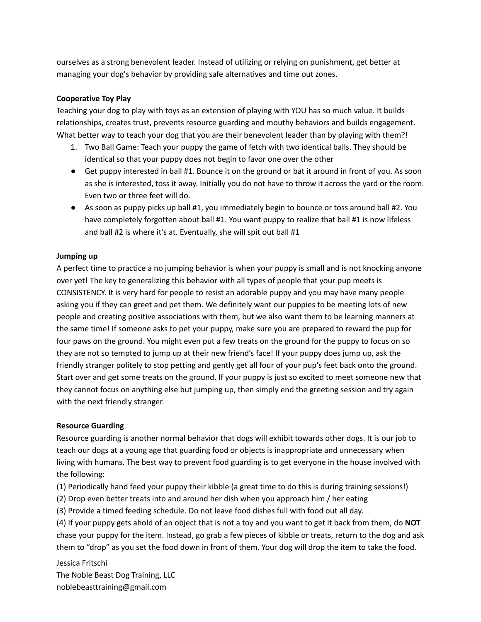ourselves as a strong benevolent leader. Instead of utilizing or relying on punishment, get better at managing your dog's behavior by providing safe alternatives and time out zones.

#### **Cooperative Toy Play**

Teaching your dog to play with toys as an extension of playing with YOU has so much value. It builds relationships, creates trust, prevents resource guarding and mouthy behaviors and builds engagement. What better way to teach your dog that you are their benevolent leader than by playing with them?!

- 1. Two Ball Game: Teach your puppy the game of fetch with two identical balls. They should be identical so that your puppy does not begin to favor one over the other
- Get puppy interested in ball #1. Bounce it on the ground or bat it around in front of you. As soon as she is interested, toss it away. Initially you do not have to throw it across the yard or the room. Even two or three feet will do.
- As soon as puppy picks up ball #1, you immediately begin to bounce or toss around ball #2. You have completely forgotten about ball #1. You want puppy to realize that ball #1 is now lifeless and ball #2 is where it's at. Eventually, she will spit out ball #1

#### **Jumping up**

A perfect time to practice a no jumping behavior is when your puppy is small and is not knocking anyone over yet! The key to generalizing this behavior with all types of people that your pup meets is CONSISTENCY. It is very hard for people to resist an adorable puppy and you may have many people asking you if they can greet and pet them. We definitely want our puppies to be meeting lots of new people and creating positive associations with them, but we also want them to be learning manners at the same time! If someone asks to pet your puppy, make sure you are prepared to reward the pup for four paws on the ground. You might even put a few treats on the ground for the puppy to focus on so they are not so tempted to jump up at their new friend's face! If your puppy does jump up, ask the friendly stranger politely to stop petting and gently get all four of your pup's feet back onto the ground. Start over and get some treats on the ground. If your puppy is just so excited to meet someone new that they cannot focus on anything else but jumping up, then simply end the greeting session and try again with the next friendly stranger.

#### **Resource Guarding**

Resource guarding is another normal behavior that dogs will exhibit towards other dogs. It is our job to teach our dogs at a young age that guarding food or objects is inappropriate and unnecessary when living with humans. The best way to prevent food guarding is to get everyone in the house involved with the following:

(1) Periodically hand feed your puppy their kibble (a great time to do this is during training sessions!)

- (2) Drop even better treats into and around her dish when you approach him / her eating
- (3) Provide a timed feeding schedule. Do not leave food dishes full with food out all day.

(4) If your puppy gets ahold of an object that is not a toy and you want to get it back from them, do **NOT** chase your puppy for the item. Instead, go grab a few pieces of kibble or treats, return to the dog and ask them to "drop" as you set the food down in front of them. Your dog will drop the item to take the food.

Jessica Fritschi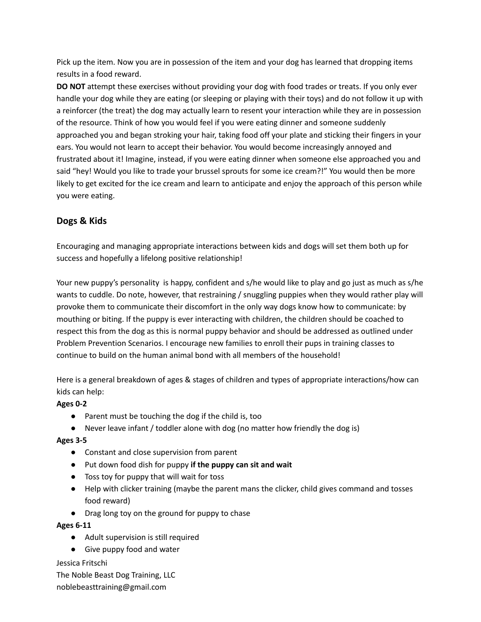Pick up the item. Now you are in possession of the item and your dog has learned that dropping items results in a food reward.

**DO NOT** attempt these exercises without providing your dog with food trades or treats. If you only ever handle your dog while they are eating (or sleeping or playing with their toys) and do not follow it up with a reinforcer (the treat) the dog may actually learn to resent your interaction while they are in possession of the resource. Think of how you would feel if you were eating dinner and someone suddenly approached you and began stroking your hair, taking food off your plate and sticking their fingers in your ears. You would not learn to accept their behavior. You would become increasingly annoyed and frustrated about it! Imagine, instead, if you were eating dinner when someone else approached you and said "hey! Would you like to trade your brussel sprouts for some ice cream?!" You would then be more likely to get excited for the ice cream and learn to anticipate and enjoy the approach of this person while you were eating.

# **Dogs & Kids**

Encouraging and managing appropriate interactions between kids and dogs will set them both up for success and hopefully a lifelong positive relationship!

Your new puppy's personality is happy, confident and s/he would like to play and go just as much as s/he wants to cuddle. Do note, however, that restraining / snuggling puppies when they would rather play will provoke them to communicate their discomfort in the only way dogs know how to communicate: by mouthing or biting. If the puppy is ever interacting with children, the children should be coached to respect this from the dog as this is normal puppy behavior and should be addressed as outlined under Problem Prevention Scenarios. I encourage new families to enroll their pups in training classes to continue to build on the human animal bond with all members of the household!

Here is a general breakdown of ages & stages of children and types of appropriate interactions/how can kids can help:

## **Ages 0-2**

- Parent must be touching the dog if the child is, too
- Never leave infant / toddler alone with dog (no matter how friendly the dog is)

### **Ages 3-5**

- Constant and close supervision from parent
- Put down food dish for puppy **if the puppy can sit and wait**
- Toss toy for puppy that will wait for toss
- Help with clicker training (maybe the parent mans the clicker, child gives command and tosses food reward)
- Drag long toy on the ground for puppy to chase

### **Ages 6-11**

- Adult supervision is still required
- Give puppy food and water

### Jessica Fritschi